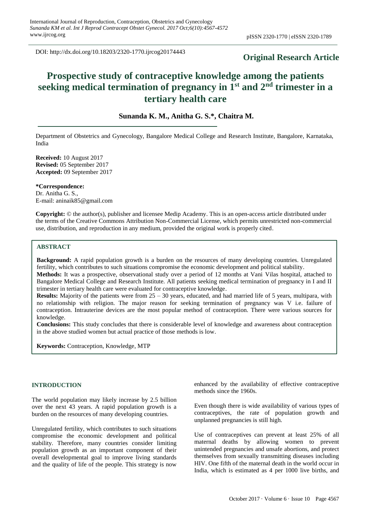DOI: http://dx.doi.org/10.18203/2320-1770.ijrcog20174443

# **Original Research Article**

# **Prospective study of contraceptive knowledge among the patients seeking medical termination of pregnancy in 1st and 2nd trimester in a tertiary health care**

# **Sunanda K. M., Anitha G. S.\*, Chaitra M.**

Department of Obstetrics and Gynecology, Bangalore Medical College and Research Institute, Bangalore, Karnataka, India

**Received:** 10 August 2017 **Revised:** 05 September 2017 **Accepted:** 09 September 2017

**\*Correspondence:** Dr. Anitha G. S., E-mail: aninaik85@gmail.com

**Copyright:** © the author(s), publisher and licensee Medip Academy. This is an open-access article distributed under the terms of the Creative Commons Attribution Non-Commercial License, which permits unrestricted non-commercial use, distribution, and reproduction in any medium, provided the original work is properly cited.

# **ABSTRACT**

**Background:** A rapid population growth is a burden on the resources of many developing countries. Unregulated fertility, which contributes to such situations compromise the economic development and political stability.

**Methods:** It was a prospective, observational study over a period of 12 months at Vani Vilas hospital, attached to Bangalore Medical College and Research Institute. All patients seeking medical termination of pregnancy in I and II trimester in tertiary health care were evaluated for contraceptive knowledge.

**Results:** Majority of the patients were from 25 – 30 years, educated, and had married life of 5 years, multipara, with no relationship with religion. The major reason for seeking termination of pregnancy was V i.e. failure of contraception. Intrauterine devices are the most popular method of contraception. There were various sources for knowledge.

**Conclusions:** This study concludes that there is considerable level of knowledge and awareness about contraception in the above studied women but actual practice of those methods is low.

**Keywords:** Contraception, Knowledge, MTP

# **INTRODUCTION**

The world population may likely increase by 2.5 billion over the next 43 years. A rapid population growth is a burden on the resources of many developing countries.

Unregulated fertility, which contributes to such situations compromise the economic development and political stability. Therefore, many countries consider limiting population growth as an important component of their overall developmental goal to improve living standards and the quality of life of the people. This strategy is now

enhanced by the availability of effective contraceptive methods since the 1960s.

Even though there is wide availability of various types of contraceptives, the rate of population growth and unplanned pregnancies is still high.

Use of contraceptives can prevent at least 25% of all maternal deaths by allowing women to prevent unintended pregnancies and unsafe abortions, and protect themselves from sexually transmitting diseases including HIV. One fifth of the maternal death in the world occur in India, which is estimated as 4 per 1000 live births, and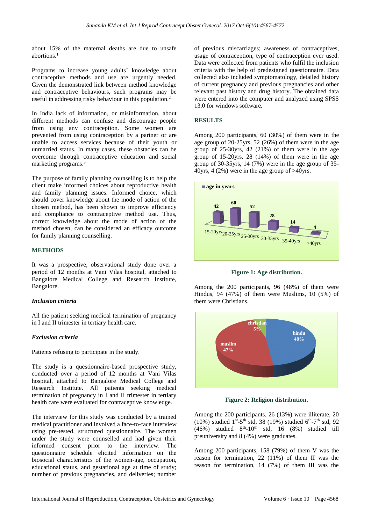about 15% of the maternal deaths are due to unsafe abortions. 1

Programs to increase young adults' knowledge about contraceptive methods and use are urgently needed. Given the demonstrated link between method knowledge and contraceptive behaviours, such programs may be useful in addressing risky behaviour in this population. 2

In India lack of information, or misinformation, about different methods can confuse and discourage people from using any contraception. Some women are prevented from using contraception by a partner or are unable to access services because of their youth or unmarried status. In many cases, these obstacles can be overcome through contraceptive education and social marketing programs. 3

The purpose of family planning counselling is to help the client make informed choices about reproductive health and family planning issues. Informed choice, which should cover knowledge about the mode of action of the chosen method, has been shown to improve efficiency and compliance to contraceptive method use. Thus, correct knowledge about the mode of action of the method chosen, can be considered an efficacy outcome for family planning counselling.

# **METHODS**

It was a prospective, observational study done over a period of 12 months at Vani Vilas hospital, attached to Bangalore Medical College and Research Institute, Bangalore.

# *Inclusion criteria*

All the patient seeking medical termination of pregnancy in I and II trimester in tertiary health care.

# *Exclusion criteria*

Patients refusing to participate in the study.

The study is a questionnaire-based prospective study, conducted over a period of 12 months at Vani Vilas hospital, attached to Bangalore Medical College and Research Institute. All patients seeking medical termination of pregnancy in I and II trimester in tertiary health care were evaluated for contraceptive knowledge.

The interview for this study was conducted by a trained medical practitioner and involved a face-to-face interview using pre-tested, structured questionnaire. The women under the study were counselled and had given their informed consent prior to the interview. The questionnaire schedule elicited information on the biosocial characteristics of the women-age, occupation, educational status, and gestational age at time of study; number of previous pregnancies, and deliveries; number of previous miscarriages; awareness of contraceptives, usage of contraception, type of contraception ever used. Data were collected from patients who fulfil the inclusion criteria with the help of predesigned questionnaire. Data collected also included symptomatology, detailed history of current pregnancy and previous pregnancies and other relevant past history and drug history. The obtained data were entered into the computer and analyzed using SPSS 13.0 for windows software.

## **RESULTS**

Among 200 participants, 60 (30%) of them were in the age group of 20-25yrs, 52 (26%) of them were in the age group of 25-30yrs, 42 (21%) of them were in the age group of 15-20yrs, 28 (14%) of them were in the age group of 30-35yrs, 14 (7%) were in the age group of 35- 40yrs, 4 (2%) were in the age group of  $>40$ yrs.



**Figure 1: Age distribution.**

Among the 200 participants, 96 (48%) of them were Hindus, 94 (47%) of them were Muslims, 10 (5%) of them were Christians.



**Figure 2: Religion distribution.**

Among the 200 participants, 26 (13%) were illiterate, 20 (10%) studied  $1^{st}$ -5<sup>th</sup> std, 38 (19%) studied  $6^{th}$ -7<sup>th</sup> std, 92  $(46\%)$  studied  $8<sup>th</sup> - 10<sup>th</sup>$  std, 16  $(8\%)$  studied till preuniversity and 8 (4%) were graduates.

Among 200 participants, 158 (79%) of them V was the reason for termination, 22 (11%) of them II was the reason for termination, 14 (7%) of them III was the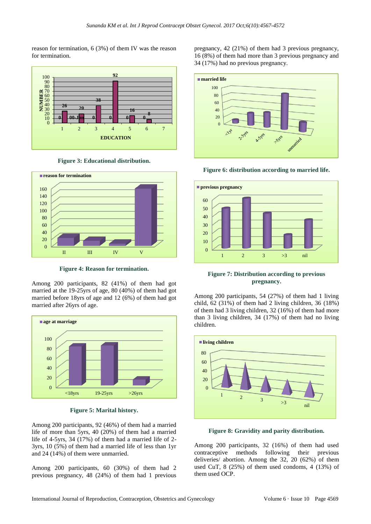reason for termination, 6 (3%) of them IV was the reason for termination.



**Figure 3: Educational distribution.**



**Figure 4: Reason for termination.**

Among 200 participants, 82 (41%) of them had got married at the 19-25yrs of age, 80 (40%) of them had got married before 18yrs of age and 12 (6%) of them had got married after 26yrs of age.



**Figure 5: Marital history.**

Among 200 participants, 92 (46%) of them had a married life of more than 5yrs, 40 (20%) of them had a married life of 4-5yrs, 34 (17%) of them had a married life of 2- 3yrs, 10 (5%) of them had a married life of less than 1yr and 24 (14%) of them were unmarried.

Among 200 participants, 60 (30%) of them had 2 previous pregnancy, 48 (24%) of them had 1 previous pregnancy, 42 (21%) of them had 3 previous pregnancy, 16 (8%) of them had more than 3 previous pregnancy and 34 (17%) had no previous pregnancy.



**Figure 6: distribution according to married life.**



**Figure 7: Distribution according to previous pregnancy.**

Among 200 participants, 54 (27%) of them had 1 living child, 62 (31%) of them had 2 living children, 36 (18%) of them had 3 living children, 32 (16%) of them had more than 3 living children, 34 (17%) of them had no living children.



**Figure 8: Gravidity and parity distribution.**

Among 200 participants, 32 (16%) of them had used contraceptive methods following their previous deliveries/ abortion. Among the 32, 20 (62%) of them used CuT, 8 (25%) of them used condoms, 4 (13%) of them used OCP.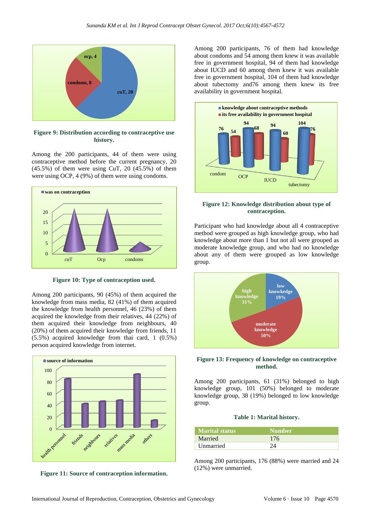

**Figure 9: Distribution according to contraceptive use history.**

Among the 200 participants, 44 of them were using contraceptive method before the current pregnancy, 20 (45.5%) of them were using CuT, 20 (45.5%) of them were using OCP, 4 (9%) of them were using condoms.



**Figure 10: Type of contraception used.**

Among 200 participants, 90 (45%) of them acquired the knowledge from mass media, 82 (41%) of them acquired the knowledge from health personnel, 46 (23%) of them acquired the knowledge from their relatives, 44 (22%) of them acquired their knowledge from neighbours, 40 (20%) of them acquired their knowledge from friends, 11 (5.5%) acquired knowledge from thai card, 1 (0.5%) person acquired knowledge from internet.



**Figure 11: Source of contraception information.**

Among 200 participants, 76 of them had knowledge about condoms and 54 among them knew it was available free in government hospital, 94 of them had knowledge about IUCD and 60 among them knew it was available free in government hospital, 104 of them had knowledge about tubectomy and76 among them knew its free availability in government hospital.



#### **Figure 12: Knowledge distribution about type of contraception.**

Participant who had knowledge about all 4 contraceptive method were grouped as high knowledge group, who had knowledge about more than 1 but not all were grouped as moderate knowledge group, and who had no knowledge about any of them were grouped as low knowledge group.



## **Figure 13: Frequency of knowledge on contraceptive method.**

Among 200 participants, 61 (31%) belonged to high knowledge group, 101 (50%) belonged to moderate knowledge group, 38 (19%) belonged to low knowledge group.

#### **Table 1: Marital history.**

| <b>Marital status</b> | <b>Number</b>      |
|-----------------------|--------------------|
| Married               | 176                |
| Unmarried             | $\gamma_{\Lambda}$ |

Among 200 participants, 176 (88%) were married and 24 (12%) were unmarried.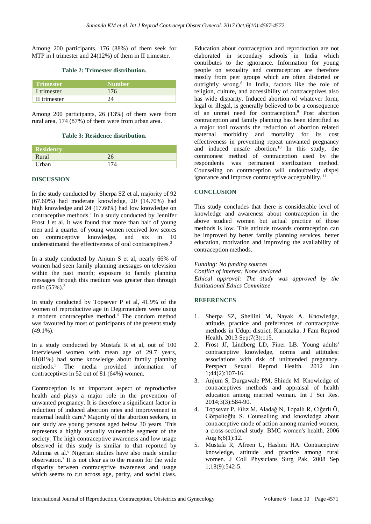Among 200 participants, 176 (88%) of them seek for MTP in I trimester and 24(12%) of them in II trimester.

#### **Table 2: Trimester distribution.**

| <b>Trimester</b> | Number <sup>'</sup> |
|------------------|---------------------|
| I trimester      | 176                 |
| II trimester     |                     |

Among 200 participants, 26 (13%) of them were from rural area, 174 (87%) of them were from urban area.

#### **Table 3: Residence distribution.**

| Residency |     |
|-----------|-----|
| Rural     | 26  |
| Urban     | 174 |

# **DISCUSSION**

In the study conducted by [Sherpa](http://www.ncbi.nlm.nih.gov/pubmed/?term=Sherpa%20SZ%5BAuthor%5D&cauthor=true&cauthor_uid=24971113) SZ et al, majority of 92 (67.60%) had moderate knowledge, 20 (14.70%) had high knowledge and 24 (17.60%) had low knowledge on contraceptive methods.<sup>1</sup> In a study conducted by Jennifer Frost J et al, it was found that more than half of young men and a quarter of young women received low scores on contraceptive knowledge, and six in 10 underestimated the effectiveness of oral contraceptives.<sup>2</sup>

In a study conducted by Anjum S et al, nearly 66% of women had seen family planning messages on television within the past month; exposure to family planning messages through this medium was greater than through radio (55%).<sup>3</sup>

In study conducted by Topsever P et al, 41.9% of the women of reproductive age in Degirmendere were using a modern contraceptive method. $4\degree$  The condom method was favoured by most of participants of the present study (49.1%).

In a study conducted by Mustafa R et al, out of 100 interviewed women with mean age of 29.7 years, 81(81%) had some knowledge about family planning methods.<sup>5</sup> The media provided information of contraceptives in 52 out of 81 (64%) women.

Contraception is an important aspect of reproductive health and plays a major role in the prevention of unwanted pregnancy. It is therefore a significant factor in reduction of induced abortion rates and improvement in maternal health care.<sup>6</sup> Majority of the abortion seekers, in our study are young persons aged below 30 years. This represents a highly sexually vulnerable segment of the society. The high contraceptive awareness and low usage observed in this study is similar to that reported by Adinma et al.<sup>6</sup> Nigerian studies have also made similar observation.<sup>7</sup> It is not clear as to the reason for the wide disparity between contraceptive awareness and usage which seems to cut across age, parity, and social class. Education about contraception and reproduction are not elaborated in secondary schools in India which contributes to the ignorance. Information for young people on sexuality and contraception are therefore mostly from peer groups which are often distorted or outrightly wrong.<sup>8</sup> In India, factors like the role of religion, culture, and accessibility of contraceptives also has wide disparity. Induced abortion of whatever form, legal or illegal, is generally believed to be a consequence of an unmet need for contraception.<sup>9</sup> Post abortion contraception and family planning has been identified as a major tool towards the reduction of abortion related maternal morbidity and mortality for its cost effectiveness in preventing repeat unwanted pregnancy and induced unsafe abortion.<sup>10</sup> In this study, the commonest method of contraception used by the respondents was permanent sterilization method. Counseling on contraception will undoubtedly dispel ignorance and improve contraceptive acceptability.<sup>11</sup>

# **CONCLUSION**

This study concludes that there is considerable level of knowledge and awareness about contraception in the above studied women but actual practice of those methods is low. This attitude towards contraception can be improved by better family planning services, better education, motivation and improving the availability of contraception methods.

*Funding: No funding sources Conflict of interest: None declared Ethical approval: The study was approved by the Institutional Ethics Committee*

# **REFERENCES**

- 1. Sherpa SZ, Sheilini M, Nayak A. Knowledge, attitude, practice and preferences of contraceptive methods in Udupi district, Karnataka. J Fam Reprod Health. 2013 Sep;7(3):115.
- 2. Frost JJ, Lindberg LD, Finer LB. Young adults' contraceptive knowledge, norms and attitudes: associations with risk of unintended pregnancy. Perspect Sexual Reprod Health. 2012 Jun 1;44(2):107-16.
- 3. Anjum S, Durgawale PM, Shinde M. Knowledge of contraceptives methods and appraisal of health education among married woman. Int J Sci Res. 2014;3(3):584-90.
- 4. Topsever P, Filiz M, Aladağ N, Topallı R, Ciğerli Ö, Görpelioğlu S. Counselling and knowledge about contraceptive mode of action among married women; a cross-sectional study. BMC women's health. 2006 Aug 6;6(1):12.
- 5. Mustafa R, Afreen U, Hashmi HA. Contraceptive knowledge, attitude and practice among rural women. J Coll Physicians Surg Pak. 2008 Sep 1;18(9):542-5.